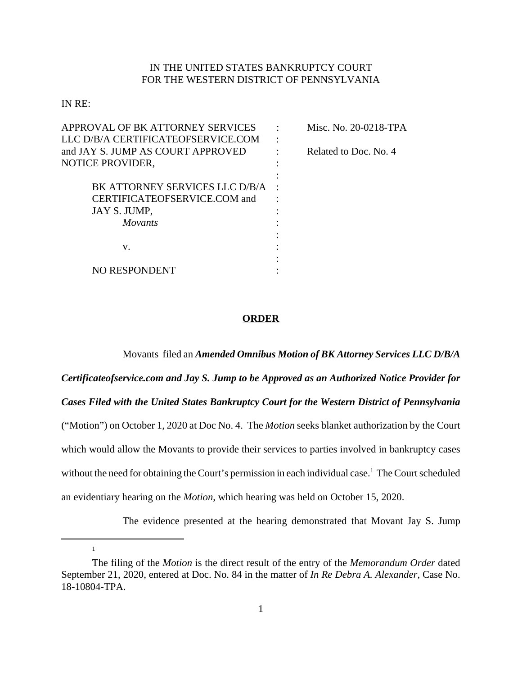## IN THE UNITED STATES BANKRUPTCY COURT FOR THE WESTERN DISTRICT OF PENNSYLVANIA

IN RE:

1

| APPROVAL OF BK ATTORNEY SERVICES   |           | Misc. No. 20-0218-TPA |
|------------------------------------|-----------|-----------------------|
| LLC D/B/A CERTIFICATEOFSERVICE.COM | $\bullet$ |                       |
| and JAY S. JUMP AS COURT APPROVED  |           | Related to Doc. No. 4 |
| NOTICE PROVIDER,                   |           |                       |
|                                    |           |                       |
| BK ATTORNEY SERVICES LLC D/B/A     |           |                       |
| CERTIFICATEOFSERVICE.COM and       |           |                       |
| JAY S. JUMP,                       |           |                       |
| <i>Movants</i>                     |           |                       |
|                                    |           |                       |
| v.                                 |           |                       |
|                                    |           |                       |
| NO RESPONDENT                      |           |                       |
|                                    |           |                       |

## **ORDER**

Movants filed an *Amended Omnibus Motion of BK Attorney Services LLC D/B/A Certificateofservice.com and Jay S. Jump to be Approved as an Authorized Notice Provider for Cases Filed with the United States Bankruptcy Court for the Western District of Pennsylvania* ("Motion") on October 1, 2020 at Doc No. 4. The *Motion* seeks blanket authorization by the Court which would allow the Movants to provide their services to parties involved in bankruptcy cases without the need for obtaining the Court's permission in each individual case.<sup>1</sup> The Court scheduled an evidentiary hearing on the *Motion*, which hearing was held on October 15, 2020.

The evidence presented at the hearing demonstrated that Movant Jay S. Jump

The filing of the *Motion* is the direct result of the entry of the *Memorandum Order* dated September 21, 2020, entered at Doc. No. 84 in the matter of *In Re Debra A. Alexander*, Case No. 18-10804-TPA.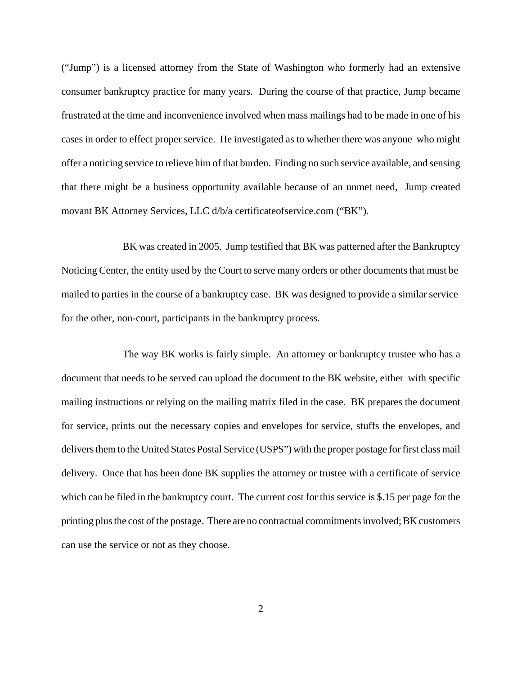("Jump") is a licensed attorney from the State of Washington who formerly had an extensive consumer bankruptcy practice for many years. During the course of that practice, Jump became frustrated at the time and inconvenience involved when mass mailings had to be made in one of his cases in order to effect proper service. He investigated as to whether there was anyone who might offer a noticing service to relieve him of that burden. Finding no such service available, and sensing that there might be a business opportunity available because of an unmet need, Jump created movant BK Attorney Services, LLC d/b/a certificateofservice.com ("BK").

BK was created in 2005. Jump testified that BK was patterned after the Bankruptcy Noticing Center, the entity used by the Court to serve many orders or other documents that must be mailed to parties in the course of a bankruptcy case. BK was designed to provide a similar service for the other, non-court, participants in the bankruptcy process.

The way BK works is fairly simple. An attorney or bankruptcy trustee who has a document that needs to be served can upload the document to the BK website, either with specific mailing instructions or relying on the mailing matrix filed in the case. BK prepares the document for service, prints out the necessary copies and envelopes for service, stuffs the envelopes, and delivers them to the United States Postal Service (USPS") with the proper postage for first class mail delivery. Once that has been done BK supplies the attorney or trustee with a certificate of service which can be filed in the bankruptcy court. The current cost for this service is \$.15 per page for the printing plus the cost of the postage. There are no contractual commitments involved; BK customers can use the service or not as they choose.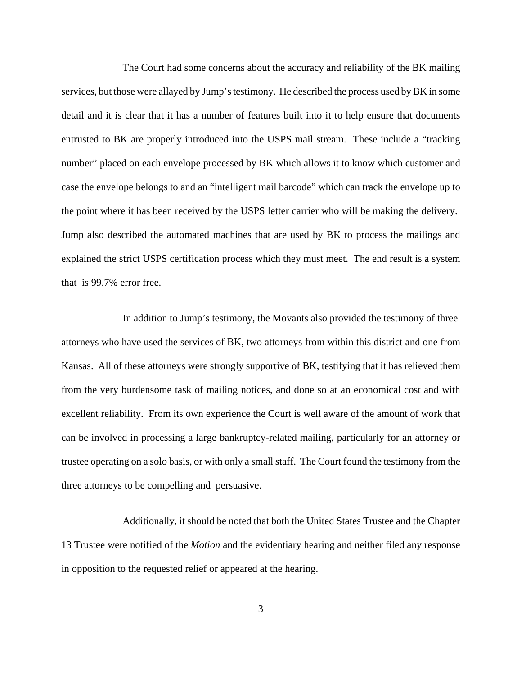The Court had some concerns about the accuracy and reliability of the BK mailing services, but those were allayed by Jump's testimony. He described the process used by BK in some detail and it is clear that it has a number of features built into it to help ensure that documents entrusted to BK are properly introduced into the USPS mail stream. These include a "tracking number" placed on each envelope processed by BK which allows it to know which customer and case the envelope belongs to and an "intelligent mail barcode" which can track the envelope up to the point where it has been received by the USPS letter carrier who will be making the delivery. Jump also described the automated machines that are used by BK to process the mailings and explained the strict USPS certification process which they must meet. The end result is a system that is 99.7% error free.

In addition to Jump's testimony, the Movants also provided the testimony of three attorneys who have used the services of BK, two attorneys from within this district and one from Kansas. All of these attorneys were strongly supportive of BK, testifying that it has relieved them from the very burdensome task of mailing notices, and done so at an economical cost and with excellent reliability. From its own experience the Court is well aware of the amount of work that can be involved in processing a large bankruptcy-related mailing, particularly for an attorney or trustee operating on a solo basis, or with only a small staff. The Court found the testimony from the three attorneys to be compelling and persuasive.

Additionally, it should be noted that both the United States Trustee and the Chapter 13 Trustee were notified of the *Motion* and the evidentiary hearing and neither filed any response in opposition to the requested relief or appeared at the hearing.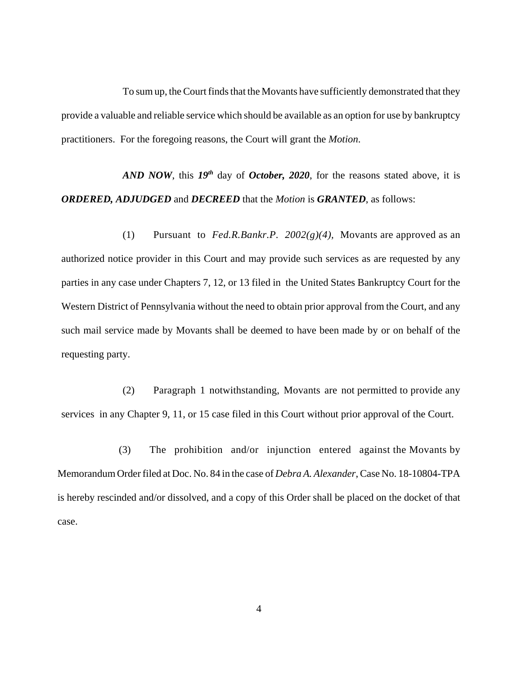To sum up, the Court finds that the Movants have sufficiently demonstrated that they provide a valuable and reliable service which should be available as an option for use by bankruptcy practitioners. For the foregoing reasons, the Court will grant the *Motion*.

*AND NOW*, this *19th* day of *October, 2020*, for the reasons stated above, it is *ORDERED, ADJUDGED* and *DECREED* that the *Motion* is *GRANTED*, as follows:

(1) Pursuant to *Fed.R.Bankr.P. 2002(g)(4),* Movants are approved as an authorized notice provider in this Court and may provide such services as are requested by any parties in any case under Chapters 7, 12, or 13 filed in the United States Bankruptcy Court for the Western District of Pennsylvania without the need to obtain prior approval from the Court, and any such mail service made by Movants shall be deemed to have been made by or on behalf of the requesting party.

(2) Paragraph 1 notwithstanding, Movants are not permitted to provide any services in any Chapter 9, 11, or 15 case filed in this Court without prior approval of the Court.

(3) The prohibition and/or injunction entered against the Movants by Memorandum Order filed at Doc. No. 84 in the case of *Debra A. Alexander*, Case No. 18-10804-TPA is hereby rescinded and/or dissolved, and a copy of this Order shall be placed on the docket of that case.